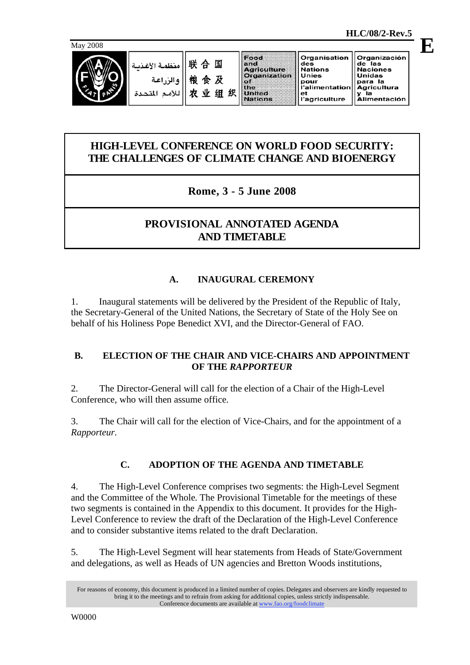



#### Food Organisation Organización and<br>Agriculture des<br>Nations de las<br>Naciones ذظه قرائفت Organization Unies Unidas omaao<br>para la<br>Agricultura  $\frac{1}{100}$ pour<br>l'alimentation 农业组织 United ngheanaic<br>y la<br>Alimentación ียะ<br>l'agriculture Nations

## **HIGH-LEVEL CONFERENCE ON WORLD FOOD SECURITY: THE CHALLENGES OF CLIMATE CHANGE AND BIOENERGY**

# **Rome, 3 - 5 June 2008**

# **PROVISIONAL ANNOTATED AGENDA AND TIMETABLE**

# **A. INAUGURAL CEREMONY**

1. Inaugural statements will be delivered by the President of the Republic of Italy, the Secretary-General of the United Nations, the Secretary of State of the Holy See on behalf of his Holiness Pope Benedict XVI, and the Director-General of FAO.

### **B. ELECTION OF THE CHAIR AND VICE-CHAIRS AND APPOINTMENT OF THE** *RAPPORTEUR*

2. The Director-General will call for the election of a Chair of the High-Level Conference, who will then assume office.

3. The Chair will call for the election of Vice-Chairs, and for the appointment of a *Rapporteur*.

### **C. ADOPTION OF THE AGENDA AND TIMETABLE**

4. The High-Level Conference comprises two segments: the High-Level Segment and the Committee of the Whole. The Provisional Timetable for the meetings of these two segments is contained in the Appendix to this document. It provides for the High-Level Conference to review the draft of the Declaration of the High-Level Conference and to consider substantive items related to the draft Declaration.

5. The High-Level Segment will hear statements from Heads of State/Government and delegations, as well as Heads of UN agencies and Bretton Woods institutions,

For reasons of economy, this document is produced in a limited number of copies. Delegates and observers are kindly requested to bring it to the meetings and to refrain from asking for additional copies, unless strictly indispensable. Conference documents are available at www.fao.org/foodclimate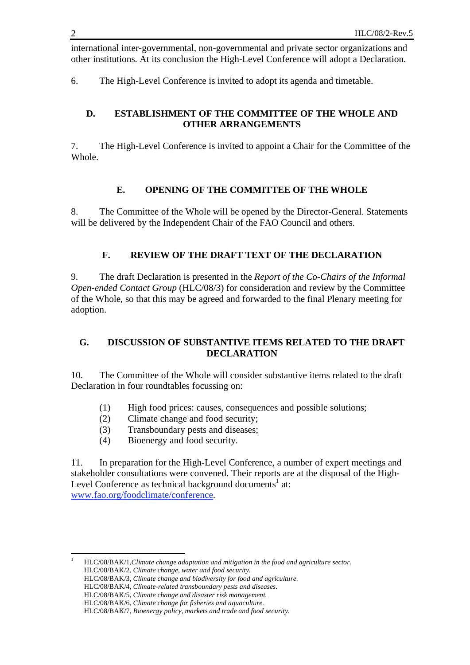international inter-governmental, non-governmental and private sector organizations and other institutions. At its conclusion the High-Level Conference will adopt a Declaration.

6. The High-Level Conference is invited to adopt its agenda and timetable.

#### **D. ESTABLISHMENT OF THE COMMITTEE OF THE WHOLE AND OTHER ARRANGEMENTS**

7. The High-Level Conference is invited to appoint a Chair for the Committee of the Whole.

#### **E. OPENING OF THE COMMITTEE OF THE WHOLE**

8. The Committee of the Whole will be opened by the Director-General. Statements will be delivered by the Independent Chair of the FAO Council and others.

#### **F. REVIEW OF THE DRAFT TEXT OF THE DECLARATION**

9. The draft Declaration is presented in the *Report of the Co-Chairs of the Informal Open-ended Contact Group* (HLC/08/3) for consideration and review by the Committee of the Whole, so that this may be agreed and forwarded to the final Plenary meeting for adoption.

#### **G. DISCUSSION OF SUBSTANTIVE ITEMS RELATED TO THE DRAFT DECLARATION**

10. The Committee of the Whole will consider substantive items related to the draft Declaration in four roundtables focussing on:

- (1) High food prices: causes, consequences and possible solutions;
- (2) Climate change and food security;
- (3) Transboundary pests and diseases;
- (4) Bioenergy and food security.

11. In preparation for the High-Level Conference, a number of expert meetings and stakeholder consultations were convened. Their reports are at the disposal of the High-Level Conference as technical background documents<sup>1</sup> at: www.fao.org/foodclimate/conference.

 $\frac{1}{1}$  HLC/08/BAK/1,*Climate change adaptation and mitigation in the food and agriculture sector.* HLC/08/BAK/2, *Climate change, water and food security.* 

HLC/08/BAK/3, *Climate change and biodiversity for food and agriculture.* 

HLC/08/BAK/4*, Climate-related transboundary pests and diseases.*

HLC/08/BAK/5, *Climate change and disaster risk management.*

HLC/08/BAK/6, *Climate change for fisheries and aquaculture.*

HLC/08/BAK/7, *Bioenergy policy, markets and trade and food security*.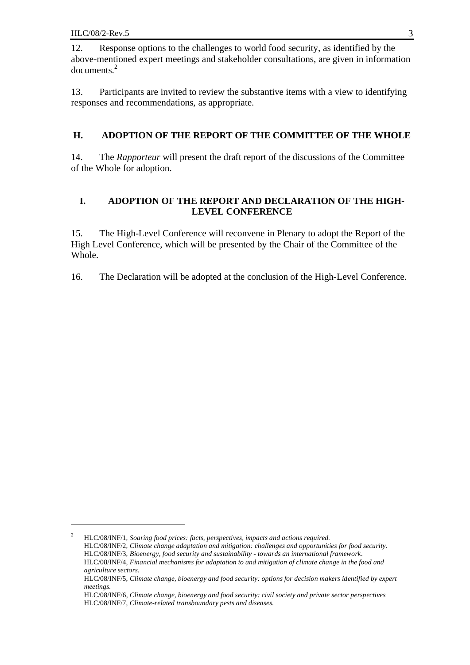<u>.</u>

12. Response options to the challenges to world food security, as identified by the above-mentioned expert meetings and stakeholder consultations, are given in information documents.<sup>2</sup>

13. Participants are invited to review the substantive items with a view to identifying responses and recommendations, as appropriate.

### **H. ADOPTION OF THE REPORT OF THE COMMITTEE OF THE WHOLE**

14. The *Rapporteur* will present the draft report of the discussions of the Committee of the Whole for adoption.

### **I. ADOPTION OF THE REPORT AND DECLARATION OF THE HIGH-LEVEL CONFERENCE**

15. The High-Level Conference will reconvene in Plenary to adopt the Report of the High Level Conference, which will be presented by the Chair of the Committee of the Whole.

16. The Declaration will be adopted at the conclusion of the High-Level Conference.

<sup>2</sup> HLC/08/INF/1, *Soaring food prices: facts, perspectives, impacts and actions required.*  HLC/08/INF/2, *Climate change adaptation and mitigation: challenges and opportunities for food security.* HLC/08/INF/3, *Bioenergy, food security and sustainability - towards an international framework*. HLC/08/INF/4, *Financial mechanisms for adaptation to and mitigation of climate change in the food and agriculture sectors.* 

HLC/08/INF/5, *Climate change, bioenergy and food security: options for decision makers identified by expert meetings.* 

HLC/08/INF/6*, Climate change, bioenergy and food security: civil society and private sector perspectives*  HLC/08/INF/7, *Climate-related transboundary pests and diseases.*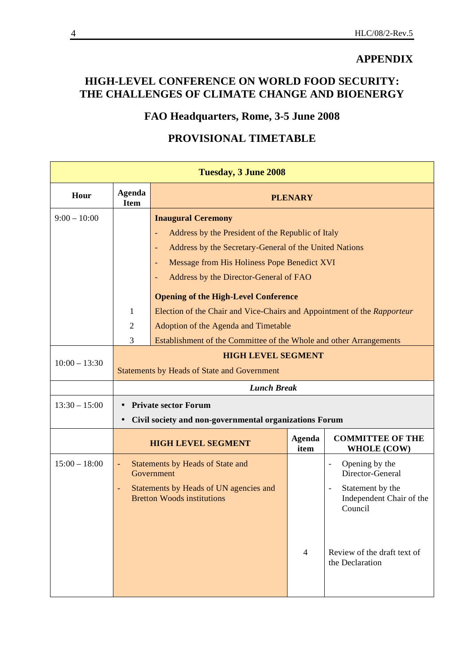### **APPENDIX**

# **HIGH-LEVEL CONFERENCE ON WORLD FOOD SECURITY: THE CHALLENGES OF CLIMATE CHANGE AND BIOENERGY**

# **FAO Headquarters, Rome, 3-5 June 2008**

# **PROVISIONAL TIMETABLE**

| Tuesday, 3 June 2008 |                                                                     |                                                                                    |                       |                                                                                         |  |  |  |
|----------------------|---------------------------------------------------------------------|------------------------------------------------------------------------------------|-----------------------|-----------------------------------------------------------------------------------------|--|--|--|
| Hour                 | Agenda<br><b>Item</b>                                               | <b>PLENARY</b>                                                                     |                       |                                                                                         |  |  |  |
| $9:00 - 10:00$       |                                                                     | <b>Inaugural Ceremony</b>                                                          |                       |                                                                                         |  |  |  |
|                      |                                                                     | Address by the President of the Republic of Italy                                  |                       |                                                                                         |  |  |  |
|                      |                                                                     | Address by the Secretary-General of the United Nations<br>$\overline{\phantom{0}}$ |                       |                                                                                         |  |  |  |
|                      |                                                                     | Message from His Holiness Pope Benedict XVI                                        |                       |                                                                                         |  |  |  |
|                      |                                                                     | Address by the Director-General of FAO                                             |                       |                                                                                         |  |  |  |
|                      |                                                                     | <b>Opening of the High-Level Conference</b>                                        |                       |                                                                                         |  |  |  |
|                      | 1                                                                   | Election of the Chair and Vice-Chairs and Appointment of the Rapporteur            |                       |                                                                                         |  |  |  |
|                      | $\overline{2}$                                                      | Adoption of the Agenda and Timetable                                               |                       |                                                                                         |  |  |  |
|                      | 3                                                                   | Establishment of the Committee of the Whole and other Arrangements                 |                       |                                                                                         |  |  |  |
| $10:00 - 13:30$      |                                                                     | <b>HIGH LEVEL SEGMENT</b><br><b>Statements by Heads of State and Government</b>    |                       |                                                                                         |  |  |  |
|                      |                                                                     | <b>Lunch Break</b>                                                                 |                       |                                                                                         |  |  |  |
| $13:30 - 15:00$      | <b>Private sector Forum</b>                                         |                                                                                    |                       |                                                                                         |  |  |  |
|                      | Civil society and non-governmental organizations Forum<br>$\bullet$ |                                                                                    |                       |                                                                                         |  |  |  |
|                      |                                                                     | <b>HIGH LEVEL SEGMENT</b>                                                          | <b>Agenda</b><br>item | <b>COMMITTEE OF THE</b><br><b>WHOLE (COW)</b>                                           |  |  |  |
| $15:00 - 18:00$      | $\blacksquare$                                                      | Statements by Heads of State and<br>Government                                     |                       | Opening by the<br>$\overline{\phantom{a}}$<br>Director-General                          |  |  |  |
|                      |                                                                     | Statements by Heads of UN agencies and<br><b>Bretton Woods institutions</b>        |                       | Statement by the<br>$\qquad \qquad \blacksquare$<br>Independent Chair of the<br>Council |  |  |  |
|                      |                                                                     |                                                                                    | $\overline{4}$        | Review of the draft text of<br>the Declaration                                          |  |  |  |